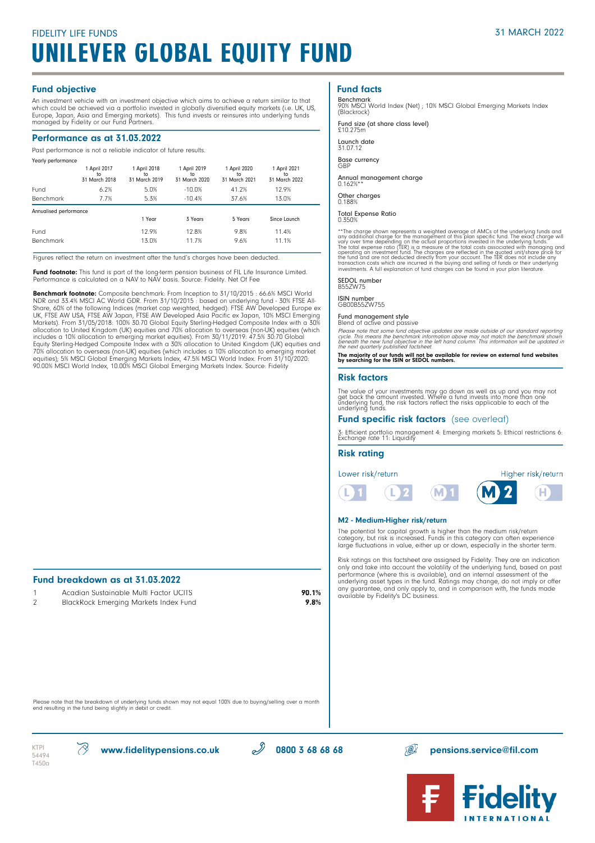### Fund objective

An investment vehicle with an investment objective which aims to achieve a return similar to that which could be achieved via a portfolio invested in globally diversified equity markets (i.e. UK, US,<br>Europe, Japan, Asia and Emerging markets). This fund invests or reinsures into underlying funds<br>managed by Fidelity or o

### Performance as at 31.03.2022

Past performance is not a reliable indicator of future results.

| Yearly performance     |                                     |                                     |                                     |                                     |                                     |  |
|------------------------|-------------------------------------|-------------------------------------|-------------------------------------|-------------------------------------|-------------------------------------|--|
|                        | 1 April 2017<br>to<br>31 March 2018 | 1 April 2018<br>to<br>31 March 2019 | 1 April 2019<br>to<br>31 March 2020 | 1 April 2020<br>to<br>31 March 2021 | 1 April 2021<br>to<br>31 March 2022 |  |
| Fund                   | 6.2%                                | 5.0%                                | $-10.0%$                            | 41.2%                               | 12.9%                               |  |
| <b>Benchmark</b>       | 7.7%                                | 5.3%                                | $-10.4%$                            | 37.6%                               | 13.0%                               |  |
| Annualised performance |                                     |                                     |                                     |                                     |                                     |  |
|                        |                                     | 1 Year                              | 3 Years                             | 5 Years                             | Since Launch                        |  |
| Fund                   |                                     | 12.9%                               | 12.8%                               | 9.8%                                | 11.4%                               |  |
| <b>Benchmark</b>       |                                     | 13.0%                               | 11.7%                               | 9.6%                                | 11.1%                               |  |

Figures reflect the return on investment after the fund's charges have been deducted.

**Fund footnote:** This fund is part of the long-term pension business of FIL Life Insurance Limited.<br>Performance is calculated on a NAV to NAV basis. Source: Fidelity. Net Of Fee

**Benchmark footnote:** Composite benchmark: From Inception to 31/10/2015 : 66.6% MSCI World<br>NDR and 33.4% MSCI AC World GDR. From 31/10/2015 : based on underlying fund - 30% FTSE All-Share, 60% of the following Indices (market cap weighted, hedged): FTSE AW Developed Europe ex UK, FTSE AW USA, FTSE AW Japan, FTSE AW Developed Asia Pacific ex Japan, 10% MSCI Emerging Markets). From 31/05/2018: 100% 30:70 Global Equity Sterling-Hedged Composite Index with a 30% allocation to United Kingdom (UK) equities and 70% allocation to overseas (non-UK) equities (which includes a 10% allocation to emerging market equities). From 30/11/2019: 47.5% 30:70 Global Equity Sterling-Hedged Composite Index with a 30% allocation to United Kingdom (UK) equities and 70% allocation to overseas (non-UK) equities (which includes a 10% allocation to emerging market equities); 5% MSCI Global Emerging Markets Index, 47.5% MSCI World Index. From 31/10/2020: 90.00% MSCI World Index, 10.00% MSCI Global Emerging Markets Index. Source: Fidelity

### Fund breakdown as at 31.03.2022

- Acadian Sustainable Multi Factor UCITS<br>BlackRock Emerging Markets Index Fund<br>**9.8% 9.9%** 1
- BlackRock Emerging Markets Index Fund  $\mathcal{D}$

### Fund facts

Benchmark 90% MSCI World Index (Net) ; 10% MSCI Global Emerging Markets Index (Blackrock)

Fund size (at share class level) £10.275m

Launch date 31.07.12

Base currency GBP

Annual management charge 0.162%\*\*

Other charges 0.188%

Total Expense Ratio 0.350%

\*\*The charge shown represents a weighted average of AMCs of the underlying funds and<br>any additional charge for the management of this plan specific fund. The exact charge will<br>vary over time depending on the acudal proport

SEDOL number B55ZW75

ISIN number GB00B55ZW755

Fund management style Blend of active and passive

Please note that some fund objective updates are made outside of our standard reporting<br>cycle. This means the benchmark information above may not match the benchmark shown<br>beneath the new fund objective in the left hand co

The majority of our funds will not be available for review on external fund websites by searching for the ISIN or SEDOL numbers.

### Risk factors

The value of your investments may go down as well as up and you may not<br>get back the amount invested. Where a fund invests into more than one<br>underlying fund, the risk factors reflect the risks applicable to each of the<br>un

### Fund specific risk factors (see overleaf)

3: Efficient portfolio management 4: Emerging markets 5: Ethical restrictions 6: Exchange rate 11: Liquidity

### Risk rating

П

Lower risk/return



### M2 - Medium-Higher risk/return

The potential for capital growth is higher than the medium risk/return category, but risk is increased. Funds in this category can often experience large fluctuations in value, either up or down, especially in the shorter term.

M

Risk ratings on this factsheet are assigned by Fidelity. They are an indication only and take into account the volatility of the underlying fund, based on past performance (where this is available), and an internal assessment of the underlying asset types in the fund. Ratings may change, do not imply or offer any guarantee, and only apply to, and in comparison with, the funds made available by Fidelity's DC business.

Please note that the breakdown of underlying funds shown may not equal 100% due to buying/selling over a month end resulting in the fund being slightly in debit or credit.

T450a

 $\text{KTPI} \quad \text{W} \quad \text{W}$  www.fidelitypensions.co.uk  $\text{W} \quad \text{W}$  0800 3 68 68 68 pensions.service@fil.com

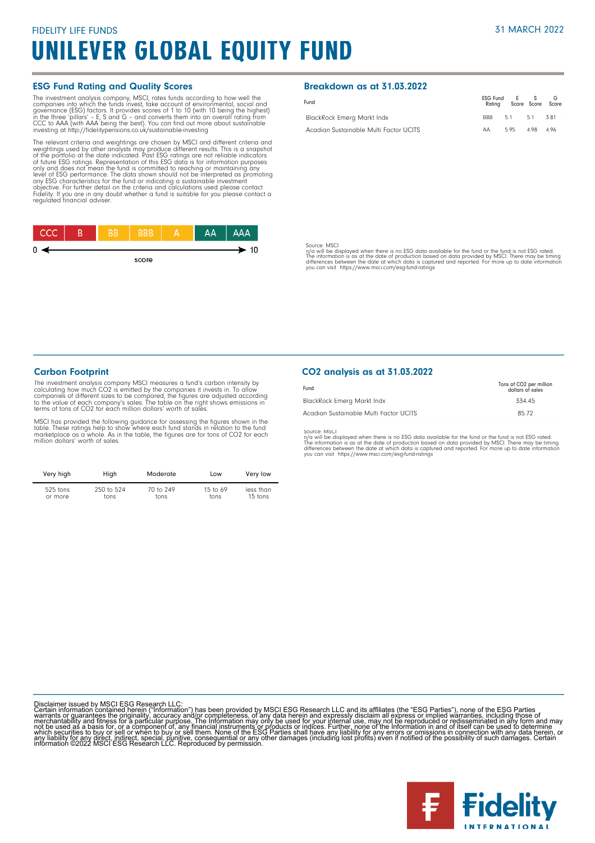### ESG Fund Rating and Quality Scores

The investment analysis company, MSCI, rates funds according to how well the forepanies into which the funds invest, take account of environmental, social and governance (ESG) factors. It provides scores of 1 to 10 (with 1

The relevant criteria and weightings are chosen by MSCI and different criteria and<br>weightings used by other analysts may produce different results. This is a snapshot<br>of the po<u>rtfo</u>lio at the date indicated. Past ESG rati of tuture ESG ratings. Representation of this ESG data is for information purposes<br>only and does not mean the fund is committed to reaching or maintaining any<br>level of ESG performance. The data shown should not be interpre



### Breakdown as at 31.03.2022

| Fund                                   | ESG Fund E S | Rating Score Score Score |  |
|----------------------------------------|--------------|--------------------------|--|
| <b>BlackRock Emerg Markt Indx</b>      | <b>BBB</b>   | 5.1 5.1 3.81             |  |
| Acadian Sustainable Multi Factor UCITS | AA           | 595 498 496              |  |



n/a will be displayed when there is no ESG data available for the fund or the fund is not ESG rated.<br>The information is as at the date of production based on data provided by MSCI. There may be timing<br>differences between t

### Carbon Footprint

The investment analysis company MSCI measures a fund's carbon intensity by calculating how much CO2 is emitted by the companies it invests in. To allow<br>companies of different sizes to be compared, the figures are adjusted according<br>to the value of each company's sales. The table on the right show terms of tons of CO2 for each million dollars' worth of sales.

MSCI has provided the following guidance for assessing the figures shown in the<br>table. These ratings help to show where each fund stands in relation to the fund<br>marketplace as a whole. As in the table, the figures are for

| Very high  | High       | Moderate  | Low        | Very low  |
|------------|------------|-----------|------------|-----------|
| $525$ tons | 250 to 524 | 70 to 249 | 15 to $69$ | less than |
| or more    | tons       | tons      | tons       | 15 tons   |

### CO2 analysis as at 31.03.2022

| Fund                                   | Tons of CO <sub>2</sub> per million<br>dollars of sales |
|----------------------------------------|---------------------------------------------------------|
| BlackRock Emerg Markt Indx             | 334 45                                                  |
| Acadian Sustainable Multi Factor UCITS | 8572                                                    |

Source: MSCI<br>ny'a will be displayed when there is no ESG data available for the fund or the fund is not ESG rated.<br>The information is as at the date of production based on data provided by MSCI. There may be timing<br>differe

Disclaimer issued by MSCI ESG Research LLC:<br>Certain information contained herein ("Information") has been provided by MSCI ESG Research LLC and its affiliates (the "ESG Parties"), none of the ESG Parties<br>Certain informatio

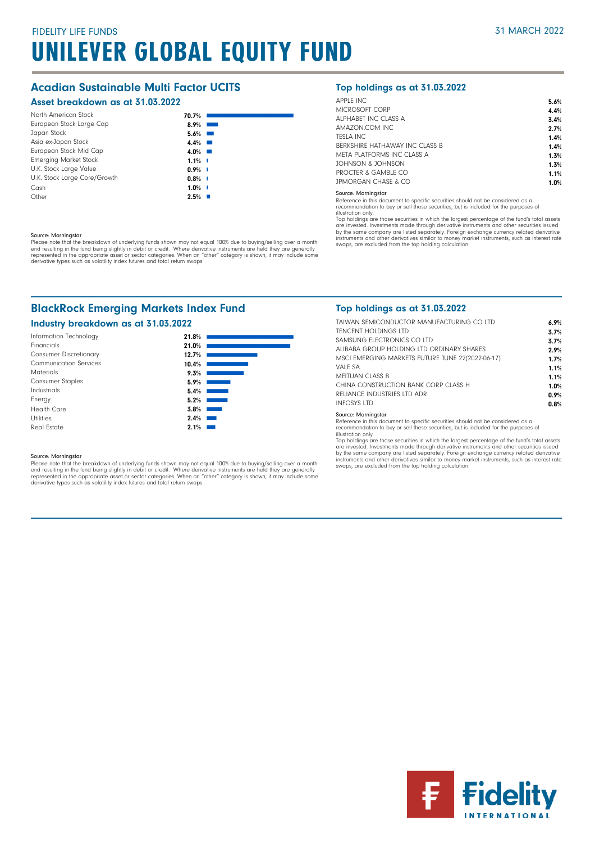### Acadian Sustainable Multi Factor UCITS

### Asset breakdown as at 31.03.2022

| North American Stock         | 70.7%                 |  |
|------------------------------|-----------------------|--|
| European Stock Large Cap     | 8.9%                  |  |
| Japan Stock                  | $5.6\%$               |  |
| Asia ex-Japan Stock          | $4.4\%$               |  |
| European Stock Mid Cap       | $4.0\%$               |  |
| <b>Emerging Market Stock</b> | $1.1\%$ I             |  |
| U.K. Stock Large Value       | $0.9\%$ I             |  |
| U.K. Stock Large Core/Growth | $0.8\%$ I             |  |
| Cash                         | $1.0\%$ I             |  |
| Other                        | $2.5%$ $\blacksquare$ |  |

### Source: Morningstar

Please note that the breakdown of underlying funds shown may not equal 100% due to buying/selling over a month<br>end resulting in the fund being slightly in debit or credit. Where derivative instruments are held they are gen

### BlackRock Emerging Markets Index Fund

### Industry breakdown as at 31.03.2022



Source: Morningstar<br>Please note that the breakdown of underlying funds shown may not equal 100% due to buying/selling over a month<br>end resulting in the fund being slightly in debit or credit. Where derivative instruments a

### Top holdings as at 31.03.2022

| APPLE INC                      | 5.6% |
|--------------------------------|------|
| MICROSOFT CORP                 | 4.4% |
| ALPHARET INC CLASS A           | 3.4% |
| AMAZON.COM INC.                | 2.7% |
| TESLA INC                      | 1.4% |
| BERKSHIRE HATHAWAY INC CLASS B | 1.4% |
| META PLATEORMS INC CLASS A     | 1.3% |
| JOHNSON & JOHNSON              | 1.3% |
| PROCTER & GAMBLE CO            | 1.1% |
| <b>JPMORGAN CHASE &amp; CO</b> | 1.0% |
|                                |      |

### Source: Morningstar

Reference in this document to specific securities should not be considered as a recommendation to buy or sell these securities, but is included for the purposes of

illustration only.

Top holdings are those securities in which the largest percentage of the fund's total assets are invested. Investments made through derivative instruments and other securities issued by the same company are listed separately. Foreign exchange currency related derivative<br>instruments and other derivatives similar to money market instruments, such as interest rate<br>swaps, are excluded from the top holding

### Top holdings as at 31.03.2022

| TAIWAN SEMICONDUCTOR MANUFACTURING CO LTD        | 6.9% |
|--------------------------------------------------|------|
| <b>TENCENT HOLDINGS LTD</b>                      | 3.7% |
| SAMSUNG FLECTRONICS CO LTD                       | 3.7% |
| ALIBABA GROUP HOLDING LTD ORDINARY SHARES        | 2.9% |
| MSCI EMERGING MARKETS FUTURE JUNE 22(2022-06-17) | 1.7% |
| VALF SA                                          | 1.1% |
| MFITUAN CLASS B                                  | 1.1% |
| CHINA CONSTRUCTION BANK CORP CLASS H             | 1.0% |
| RELIANCE INDUSTRIES LTD ADR                      | 0.9% |
| <b>INFOSYS LTD</b>                               | 0.8% |

#### Source: Morningstar

Reference in this document to specific securities should not be considered as a recommendation to buy or sell these securities, but is included for the purposes of illustration only.

Top holdings are those securities in which the largest percentage of the fund's total assets<br>are invested. Investments made through derivative instruments and other securities issued<br>by the same company are listed separate instruments and other derivatives similar to money market instruments, such as interest rate swaps, are excluded from the top holding calculation.